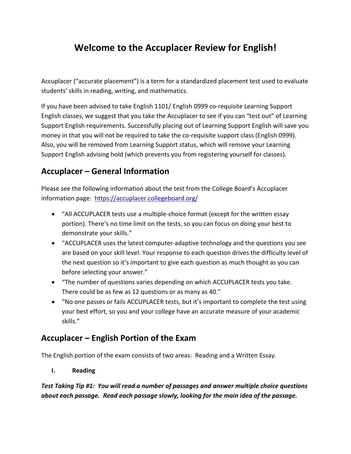# **Welcome to the Accuplacer Review for English!**

Accuplacer ("accurate placement") is a term for a standardized placement test used to evaluate students' skills in reading, writing, and mathematics.

If you have been advised to take English 1101/ English 0999 co-requisite Learning Support English classes, we suggest that you take the Accuplacer to see if you can "test out" of Learning Support English requirements. Successfully placing out of Learning Support English will save you money in that you will not be required to take the co-requisite support class (English 0999). Also, you will be removed from Learning Support status, which will remove your Learning Support English advising hold (which prevents you from registering yourself for classes).

## **Accuplacer – General Information**

Please see the following information about the test from the College Board's Accuplacer information page: <https://accuplacer.collegeboard.org/>

- "All ACCUPLACER tests use a multiple-choice format (except for the written essay portion). There's no time limit on the tests, so you can focus on doing your best to demonstrate your skills."
- "ACCUPLACER uses the latest computer-adaptive technology and the questions you see are based on your skill level. Your response to each question drives the difficulty level of the next question so it's important to give each question as much thought as you can before selecting your answer."
- "The number of questions varies depending on which ACCUPLACER tests you take. There could be as few as 12 questions or as many as 40."
- "No one passes or fails ACCUPLACER tests, but it's important to complete the test using your best effort, so you and your college have an accurate measure of your academic skills."

## **Accuplacer – English Portion of the Exam**

The English portion of the exam consists of two areas: Reading and a Written Essay.

#### **I. Reading**

*Test Taking Tip #1: You will read a number of passages and answer multiple choice questions about each passage. Read each passage slowly, looking for the main idea of the passage.*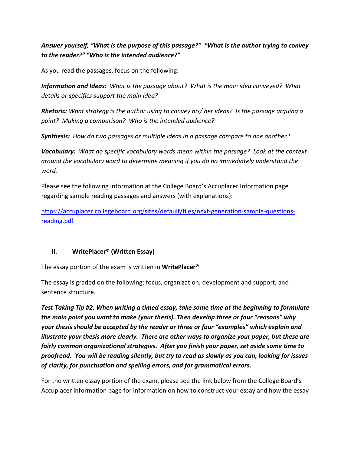### *Answer yourself, "What is the purpose of this passage?" "What is the author trying to convey to the reader?" "Who is the intended audience?"*

As you read the passages, focus on the following:

*Information and Ideas: What is the passage about? What is the main idea conveyed? What details or specifics support the main idea?*

*Rhetoric: What strategy is the author using to convey his/ her ideas? Is the passage arguing a point? Making a comparison? Who is the intended audience?*

*Synthesis: How do two passages or multiple ideas in a passage compare to one another?*

*Vocabulary: What do specific vocabulary words mean within the passage? Look at the context around the vocabulary word to determine meaning if you do no immediately understand the word.*

Please see the following information at the College Board's Accuplacer Information page regarding sample reading passages and answers (with explanations):

[https://accuplacer.collegeboard.org/sites/default/files/next-generation-sample-questions](https://accuplacer.collegeboard.org/sites/default/files/next-generation-sample-questions-reading.pdf)[reading.pdf](https://accuplacer.collegeboard.org/sites/default/files/next-generation-sample-questions-reading.pdf)

#### **II. WritePlacer® (Written Essay)**

The essay portion of the exam is written in **WritePlacer®**

The essay is graded on the following: focus, organization, development and support, and sentence structure.

*Test Taking Tip #2: When writing a timed essay, take some time at the beginning to formulate the main point you want to make (your thesis). Then develop three or four "reasons" why your thesis should be accepted by the reader or three or four "examples" which explain and illustrate your thesis more clearly. There are other ways to organize your paper, but these are fairly common organizational strategies. After you finish your paper, set aside some time to proofread. You will be reading silently, but try to read as slowly as you can, looking for issues of clarity, for punctuation and spelling errors, and for grammatical errors.*

For the written essay portion of the exam, please see the link below from the College Board's Accuplacer information page for information on how to construct your essay and how the essay